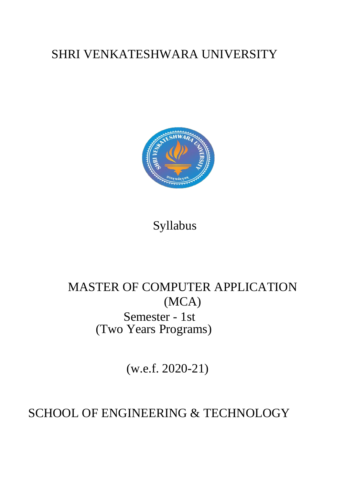## SHRI VENKATESHWARA UNIVERSITY



Syllabus

# MASTER OF COMPUTER APPLICATION (MCA) Semester - 1st (Two Years Programs)

(w.e.f. 2020-21)

# SCHOOL OF ENGINEERING & TECHNOLOGY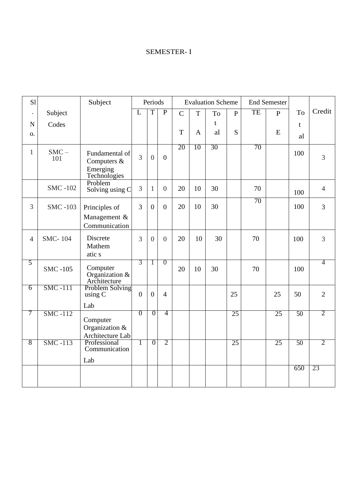#### SEMESTER- I

| S <sub>1</sub> |                 | Subject                                                   | Periods        |                  |                  | <b>Evaluation Scheme</b> |              |             | <b>End Semester</b> |    |              |             |                |
|----------------|-----------------|-----------------------------------------------------------|----------------|------------------|------------------|--------------------------|--------------|-------------|---------------------|----|--------------|-------------|----------------|
| $\bullet$      | Subject         |                                                           | L              | T                | $\mathbf{P}$     | $\mathbf C$              | $\mathbf T$  | To          | $\mathbf{P}$        | TE | $\mathbf{P}$ | To          | Credit         |
| ${\bf N}$      | Codes           |                                                           |                |                  |                  |                          |              | $\mathbf t$ |                     |    |              | $\mathbf t$ |                |
| O.             |                 |                                                           |                |                  |                  | $\mathbf T$              | $\mathbf{A}$ | al          | S                   |    | ${\bf E}$    | al          |                |
| $\mathbf{1}$   | $SMC -$<br>101  | Fundamental of<br>Computers &<br>Emerging<br>Technologies | $\overline{3}$ | $\boldsymbol{0}$ | $\boldsymbol{0}$ | 20                       | 10           | 30          |                     | 70 |              | 100         | $\overline{3}$ |
|                | <b>SMC -102</b> | Problem<br>Solving using C                                | 3              | $\mathbf{1}$     | $\overline{0}$   | 20                       | 10           | 30          |                     | 70 |              | 100         | $\overline{4}$ |
| 3              | <b>SMC -103</b> | Principles of<br>Management &                             | $\overline{3}$ | $\overline{0}$   | $\mathbf{0}$     | 20                       | 10           | 30          |                     | 70 |              | 100         | $\overline{3}$ |
|                |                 | Communication                                             |                |                  |                  |                          |              |             |                     |    |              |             |                |
| $\overline{4}$ | <b>SMC-104</b>  | Discrete<br>Mathem<br>atic s                              | $\overline{3}$ | $\overline{0}$   | $\overline{0}$   | 20                       | 10           | 30          |                     | 70 |              | 100         | $\overline{3}$ |
| 5              | <b>SMC -105</b> | Computer<br>Organization &<br>Architecture                | $\overline{3}$ | 1                | $\overline{0}$   | 20                       | 10           | 30          |                     | 70 |              | 100         | 4              |
| $\overline{6}$ | <b>SMC-111</b>  | Problem Solving<br>using C<br>Lab                         | $\overline{0}$ | $\overline{0}$   | $\overline{4}$   |                          |              |             | 25                  |    | 25           | 50          | $\overline{2}$ |
| 7              | <b>SMC -112</b> | Computer<br>Organization &<br>Architecture Lab            | $\overline{0}$ | 0                | 4                |                          |              |             | 25                  |    | 25           | 50          | 2              |
| $\sqrt{8}$     | <b>SMC -113</b> | Professional<br>Communication<br>Lab                      | 1              | $\overline{0}$   | $\overline{2}$   |                          |              |             | 25                  |    | 25           | 50          | 2              |
|                |                 |                                                           |                |                  |                  |                          |              |             |                     |    |              | 650         | 23             |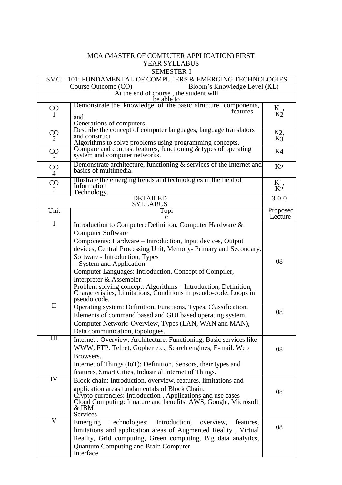#### MCA (MASTER OF COMPUTER APPLICATION) FIRST YEAR SYLLABUS SEMESTER-I

|                      | SMC – 101: FUNDAMENTAL OF COMPUTERS & EMERGING TECHNOLOGIES                                                                          |                      |
|----------------------|--------------------------------------------------------------------------------------------------------------------------------------|----------------------|
|                      | Bloom's Knowledge Level (KL)<br>Course Outcome (CO)                                                                                  |                      |
|                      | At the end of course, the student will<br>be able to                                                                                 |                      |
| CO                   | Demonstrate the knowledge of the basic structure, components,                                                                        | K <sub>1</sub> ,     |
| 1                    | features<br>and                                                                                                                      | K2                   |
|                      | Generations of computers.                                                                                                            |                      |
| CO                   | Describe the concept of computer languages, language translators                                                                     | K <sub>2</sub>       |
| $\overline{2}$       | and construct<br>Algorithms to solve problems using programming concepts.                                                            | $K_3^{\overline{3}}$ |
| CO                   | Compare and contrast features, functioning $&$ types of operating                                                                    | K <sub>4</sub>       |
| 3                    | system and computer networks.                                                                                                        |                      |
| CO<br>$\overline{4}$ | Demonstrate architecture, functioning $\&$ services of the Internet and<br>basics of multimedia.                                     | K <sub>2</sub>       |
| CO                   | Illustrate the emerging trends and technologies in the field of                                                                      | K <sub>1</sub> ,     |
| 5                    | Information                                                                                                                          | K <sub>2</sub>       |
|                      | Technology.<br>DETAILED                                                                                                              | $3-0-0$              |
|                      | <b>SYLLABUS</b>                                                                                                                      |                      |
| Unit                 | Topi<br>с                                                                                                                            | Proposed<br>Lecture  |
|                      | Introduction to Computer: Definition, Computer Hardware &                                                                            |                      |
|                      | <b>Computer Software</b>                                                                                                             |                      |
|                      | Components: Hardware – Introduction, Input devices, Output                                                                           |                      |
|                      | devices, Central Processing Unit, Memory- Primary and Secondary.                                                                     |                      |
|                      | Software - Introduction, Types                                                                                                       | 08                   |
|                      | - System and Application.                                                                                                            |                      |
|                      | Computer Languages: Introduction, Concept of Compiler,                                                                               |                      |
|                      | Interpreter & Assembler                                                                                                              |                      |
|                      | Problem solving concept: Algorithms – Introduction, Definition,<br>Characteristics, Limitations, Conditions in pseudo-code, Loops in |                      |
|                      | pseudo code.                                                                                                                         |                      |
| $\rm{II}$            | Operating system: Definition, Functions, Types, Classification,                                                                      |                      |
|                      | Elements of command based and GUI based operating system.                                                                            | 08                   |
|                      | Computer Network: Overview, Types (LAN, WAN and MAN),                                                                                |                      |
|                      | Data communication, topologies.                                                                                                      |                      |
| $\mathop{\rm III}$   | Internet : Overview, Architecture, Functioning, Basic services like                                                                  |                      |
|                      | WWW, FTP, Telnet, Gopher etc., Search engines, E-mail, Web                                                                           | 08                   |
|                      | Browsers.                                                                                                                            |                      |
|                      | Internet of Things (IoT): Definition, Sensors, their types and                                                                       |                      |
|                      | features, Smart Cities, Industrial Internet of Things.                                                                               |                      |
| IV                   | Block chain: Introduction, overview, features, limitations and                                                                       |                      |
|                      | application areas fundamentals of Block Chain.                                                                                       | 08                   |
|                      | Crypto currencies: Introduction, Applications and use cases                                                                          |                      |
|                      | Cloud Computing: It nature and benefits, AWS, Google, Microsoft<br>$&$ IBM                                                           |                      |
|                      | Services                                                                                                                             |                      |
| V                    | Introduction,<br>Technologies:<br>features,<br>overview,<br>Emerging                                                                 |                      |
|                      | limitations and application areas of Augmented Reality, Virtual                                                                      | 08                   |
|                      | Reality, Grid computing, Green computing, Big data analytics,                                                                        |                      |
|                      | <b>Quantum Computing and Brain Computer</b>                                                                                          |                      |
|                      | Interface                                                                                                                            |                      |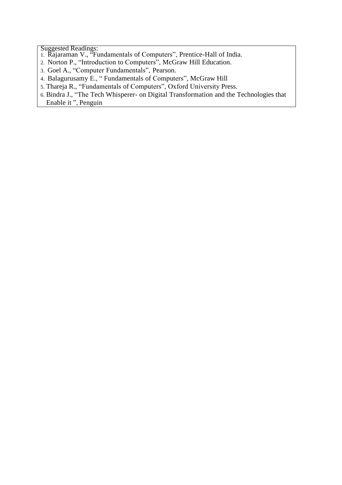- 1. Rajaraman V., "Fundamentals of Computers", Prentice-Hall of India.
- 2. Norton P., "Introduction to Computers", McGraw Hill Education.
- 3. Goel A., "Computer Fundamentals", Pearson.
- 4. Balagurusamy E., " Fundamentals of Computers", McGraw Hill
- 5. Thareja R., "Fundamentals of Computers", Oxford University Press.
- 6. Bindra J., "The Tech Whisperer- on Digital Transformation and the Technologies that Enable it ", Penguin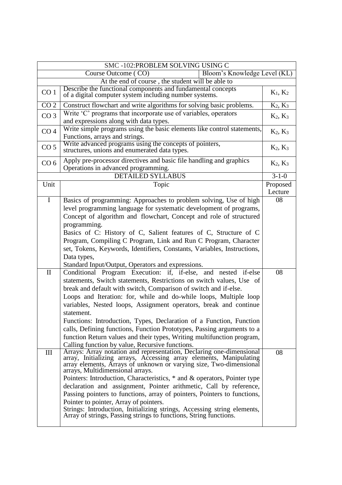|                                                     | SMC -102:PROBLEM SOLVING USING C                                                                                                                                                                                                                                                                                                                                                                                                                                                                                                                                                                                                                                             |                     |  |  |  |
|-----------------------------------------------------|------------------------------------------------------------------------------------------------------------------------------------------------------------------------------------------------------------------------------------------------------------------------------------------------------------------------------------------------------------------------------------------------------------------------------------------------------------------------------------------------------------------------------------------------------------------------------------------------------------------------------------------------------------------------------|---------------------|--|--|--|
| Bloom's Knowledge Level (KL)<br>Course Outcome (CO) |                                                                                                                                                                                                                                                                                                                                                                                                                                                                                                                                                                                                                                                                              |                     |  |  |  |
|                                                     | At the end of course, the student will be able to                                                                                                                                                                                                                                                                                                                                                                                                                                                                                                                                                                                                                            |                     |  |  |  |
| CO <sub>1</sub>                                     | Describe the functional components and fundamental concepts<br>of a digital computer system including number systems.                                                                                                                                                                                                                                                                                                                                                                                                                                                                                                                                                        | $K_1, K_2$          |  |  |  |
| CO <sub>2</sub>                                     | Construct flowchart and write algorithms for solving basic problems.                                                                                                                                                                                                                                                                                                                                                                                                                                                                                                                                                                                                         | $K_2, K_3$          |  |  |  |
| CO <sub>3</sub>                                     | Write 'C' programs that incorporate use of variables, operators<br>and expressions along with data types.                                                                                                                                                                                                                                                                                                                                                                                                                                                                                                                                                                    | $K_2, K_3$          |  |  |  |
| CO <sub>4</sub>                                     | Write simple programs using the basic elements like control statements,<br>Functions, arrays and strings.                                                                                                                                                                                                                                                                                                                                                                                                                                                                                                                                                                    | $K_2, K_3$          |  |  |  |
| CO <sub>5</sub>                                     | Write advanced programs using the concepts of pointers,<br>structures, unions and enumerated data types.                                                                                                                                                                                                                                                                                                                                                                                                                                                                                                                                                                     | $K_2, K_3$          |  |  |  |
| CO <sub>6</sub>                                     | Apply pre-processor directives and basic file handling and graphics<br>Operations in advanced programming.                                                                                                                                                                                                                                                                                                                                                                                                                                                                                                                                                                   | $K_2, K_3$          |  |  |  |
|                                                     | <b>DETAILED SYLLABUS</b>                                                                                                                                                                                                                                                                                                                                                                                                                                                                                                                                                                                                                                                     | $3 - 1 - 0$         |  |  |  |
| Unit                                                | Topic                                                                                                                                                                                                                                                                                                                                                                                                                                                                                                                                                                                                                                                                        | Proposed<br>Lecture |  |  |  |
| $\mathbf I$                                         | Basics of programming: Approaches to problem solving, Use of high<br>level programming language for systematic development of programs,<br>Concept of algorithm and flowchart, Concept and role of structured<br>programming.<br>Basics of C: History of C, Salient features of C, Structure of C<br>Program, Compiling C Program, Link and Run C Program, Character<br>set, Tokens, Keywords, Identifiers, Constants, Variables, Instructions,<br>Data types,<br>Standard Input/Output, Operators and expressions.                                                                                                                                                          | 08                  |  |  |  |
| $\rm II$                                            | Conditional Program Execution: if, if-else, and nested if-else<br>statements, Switch statements, Restrictions on switch values, Use of<br>break and default with switch, Comparison of switch and if-else.<br>Loops and Iteration: for, while and do-while loops, Multiple loop<br>variables, Nested loops, Assignment operators, break and continue<br>statement.<br>Functions: Introduction, Types, Declaration of a Function, Function<br>calls, Defining functions, Function Prototypes, Passing arguments to a<br>function Return values and their types, Writing multifunction program,<br>Calling function by value, Recursive functions.                             | 08                  |  |  |  |
| $\mathop{\rm III}$                                  | Arrays: Array notation and representation, Declaring one-dimensional<br>array, Initializing arrays, Accessing array elements, Manipulating<br>array elements, Arrays of unknown or varying size, Two-dimensional<br>arrays, Multidimensional arrays.<br>Pointers: Introduction, Characteristics, * and & operators, Pointer type<br>declaration and assignment, Pointer arithmetic, Call by reference,<br>Passing pointers to functions, array of pointers, Pointers to functions,<br>Pointer to pointer, Array of pointers.<br>Strings: Introduction, Initializing strings, Accessing string elements,<br>Array of strings, Passing strings to functions, String functions. | 08                  |  |  |  |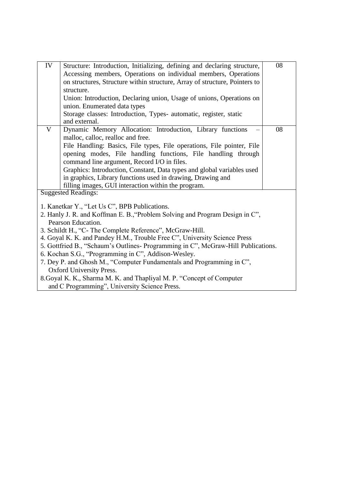| IV                                                                                | Structure: Introduction, Initializing, defining and declaring structure,     | 08 |  |  |  |
|-----------------------------------------------------------------------------------|------------------------------------------------------------------------------|----|--|--|--|
|                                                                                   | Accessing members, Operations on individual members, Operations              |    |  |  |  |
|                                                                                   | on structures, Structure within structure, Array of structure, Pointers to   |    |  |  |  |
|                                                                                   | structure.                                                                   |    |  |  |  |
|                                                                                   | Union: Introduction, Declaring union, Usage of unions, Operations on         |    |  |  |  |
|                                                                                   | union. Enumerated data types                                                 |    |  |  |  |
|                                                                                   | Storage classes: Introduction, Types- automatic, register, static            |    |  |  |  |
|                                                                                   | and external.                                                                |    |  |  |  |
| V                                                                                 | Dynamic Memory Allocation: Introduction, Library functions                   | 08 |  |  |  |
|                                                                                   | malloc, calloc, realloc and free.                                            |    |  |  |  |
|                                                                                   | File Handling: Basics, File types, File operations, File pointer, File       |    |  |  |  |
|                                                                                   | opening modes, File handling functions, File handling through                |    |  |  |  |
|                                                                                   | command line argument, Record I/O in files.                                  |    |  |  |  |
|                                                                                   | Graphics: Introduction, Constant, Data types and global variables used       |    |  |  |  |
|                                                                                   | in graphics, Library functions used in drawing, Drawing and                  |    |  |  |  |
|                                                                                   | filling images, GUI interaction within the program.                          |    |  |  |  |
|                                                                                   | <b>Suggested Readings:</b>                                                   |    |  |  |  |
|                                                                                   |                                                                              |    |  |  |  |
|                                                                                   | 1. Kanetkar Y., "Let Us C", BPB Publications.                                |    |  |  |  |
|                                                                                   | 2. Hanly J. R. and Koffman E. B., "Problem Solving and Program Design in C", |    |  |  |  |
| Pearson Education.                                                                |                                                                              |    |  |  |  |
| 3. Schildt H., "C- The Complete Reference", McGraw-Hill.                          |                                                                              |    |  |  |  |
| 4. Goyal K. K. and Pandey H.M., Trouble Free C", University Science Press         |                                                                              |    |  |  |  |
| 5. Gottfried B., "Schaum's Outlines- Programming in C", McGraw-Hill Publications. |                                                                              |    |  |  |  |
| 6. Kochan S.G., "Programming in C", Addison-Wesley.                               |                                                                              |    |  |  |  |
| 7. Dey P. and Ghosh M., "Computer Fundamentals and Programming in C",             |                                                                              |    |  |  |  |

- Oxford University Press.
- 8.Goyal K. K., Sharma M. K. and Thapliyal M. P. "Concept of Computer and C Programming", University Science Press.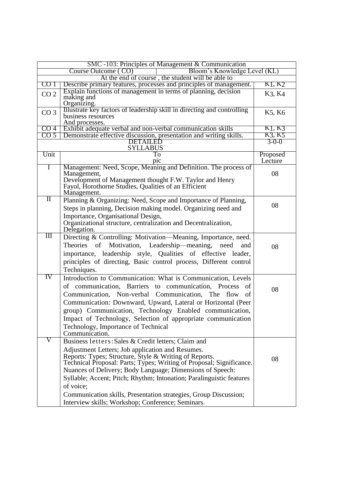|                                                     | SMC -103: Principles of Management & Communication                                                                                                                                                                                                                                                                                                                                                                                                                                                                   |             |  |  |  |  |
|-----------------------------------------------------|----------------------------------------------------------------------------------------------------------------------------------------------------------------------------------------------------------------------------------------------------------------------------------------------------------------------------------------------------------------------------------------------------------------------------------------------------------------------------------------------------------------------|-------------|--|--|--|--|
| Course Outcome (CO)<br>Bloom's Knowledge Level (KL) |                                                                                                                                                                                                                                                                                                                                                                                                                                                                                                                      |             |  |  |  |  |
| At the end of course, the student will be able to   |                                                                                                                                                                                                                                                                                                                                                                                                                                                                                                                      |             |  |  |  |  |
| CO 1                                                | Describe primary features, processes and principles of management.                                                                                                                                                                                                                                                                                                                                                                                                                                                   | K1, K2      |  |  |  |  |
| CO <sub>2</sub>                                     | Explain functions of management in terms of planning, decision<br>making and<br>Organizing.                                                                                                                                                                                                                                                                                                                                                                                                                          | K3, K4      |  |  |  |  |
| CO <sub>3</sub>                                     | Illustrate key factors of leadership skill in directing and controlling<br>business resources<br>And processes.                                                                                                                                                                                                                                                                                                                                                                                                      | K5, K6      |  |  |  |  |
| CO <sub>4</sub>                                     | Exhibit adequate verbal and non-verbal communication skills                                                                                                                                                                                                                                                                                                                                                                                                                                                          | K1, K3      |  |  |  |  |
| CO <sub>5</sub>                                     | Demonstrate effective discussion, presentation and writing skills.                                                                                                                                                                                                                                                                                                                                                                                                                                                   | K3, K5      |  |  |  |  |
|                                                     | <b>DETAILED</b><br><b>SYLLABUS</b>                                                                                                                                                                                                                                                                                                                                                                                                                                                                                   | $3 - 0 - 0$ |  |  |  |  |
| Unit                                                | To                                                                                                                                                                                                                                                                                                                                                                                                                                                                                                                   | Proposed    |  |  |  |  |
|                                                     | pic                                                                                                                                                                                                                                                                                                                                                                                                                                                                                                                  | Lecture     |  |  |  |  |
| T                                                   | Management: Need, Scope, Meaning and Definition. The process of<br>Management,<br>Development of Management thought F.W. Taylor and Henry<br>Fayol, Horothorne Studies, Qualities of an Efficient<br>Management.                                                                                                                                                                                                                                                                                                     | 08          |  |  |  |  |
| $\overline{\rm II}$                                 | Planning & Organizing: Need, Scope and Importance of Planning,<br>Steps in planning, Decision making model. Organizing need and<br>Importance, Organisational Design,<br>Organizational structure, centralization and Decentralization,<br>Delegation.                                                                                                                                                                                                                                                               | 08          |  |  |  |  |
| $\mathop{\mathrm{III}}\nolimits$                    | Directing & Controlling: Motivation—Meaning, Importance, need.<br>Theories of Motivation, Leadership—meaning,<br>need<br>and<br>importance, leadership style, Qualities of effective leader,<br>principles of directing, Basic control process, Different control<br>Techniques.                                                                                                                                                                                                                                     | 08          |  |  |  |  |
| $\overline{\text{IV}}$                              | Introduction to Communication: What is Communication, Levels<br>of communication, Barriers to communication, Process<br>of<br>Communication, Non-verbal Communication, The flow<br>of<br>Communication: Downward, Upward, Lateral or Horizontal (Peer<br>group) Communication, Technology Enabled communication,<br>Impact of Technology, Selection of appropriate communication<br>Technology, Importance of Technical<br>Communication.                                                                            | 08          |  |  |  |  |
|                                                     | Business letters: Sales & Credit letters; Claim and<br>Adjustment Letters; Job application and Resumes.<br>Reports: Types; Structure, Style & Writing of Reports.<br>Technical Proposal: Parts; Types; Writing of Proposal; Significance.<br>Nuances of Delivery; Body Language; Dimensions of Speech:<br>Syllable; Accent; Pitch; Rhythm; Intonation; Paralinguistic features<br>of voice;<br>Communication skills, Presentation strategies, Group Discussion;<br>Interview skills; Workshop; Conference; Seminars. | 08          |  |  |  |  |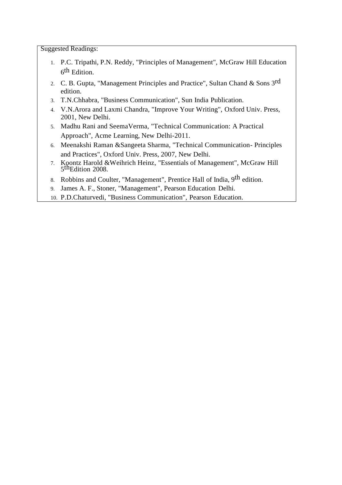- 1. P.C. Tripathi, P.N. Reddy, "Principles of Management", McGraw Hill Education 6<sup>th</sup> Edition.
- 2. C. B. Gupta, "Management Principles and Practice", Sultan Chand & Sons  $3^{rd}$ edition.
- 3. T.N.Chhabra, "Business Communication", Sun India Publication.
- 4. V.N.Arora and Laxmi Chandra, "Improve Your Writing", Oxford Univ. Press, 2001, New Delhi.
- 5. Madhu Rani and SeemaVerma, "Technical Communication: A Practical Approach", Acme Learning, New Delhi-2011.
- 6. Meenakshi Raman &Sangeeta Sharma, "Technical Communication- Principles and Practices", Oxford Univ. Press, 2007, New Delhi.
- 7. Koontz Harold & Weihrich Heinz, "Essentials of Management", McGraw Hill 5<sup>th</sup>Edition 2008.
- 8. Robbins and Coulter, "Management", Prentice Hall of India, 9<sup>th</sup> edition.
- 9. James A. F., Stoner, "Management", Pearson Education Delhi.
- 10. P.D.Chaturvedi, "Business Communication", Pearson Education.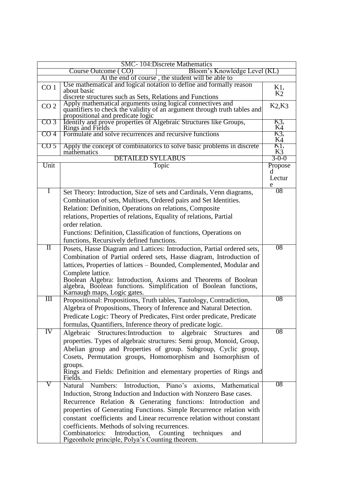|                                                     | <b>SMC-104:Discrete Mathematics</b>                                                                                                                                          |                  |  |
|-----------------------------------------------------|------------------------------------------------------------------------------------------------------------------------------------------------------------------------------|------------------|--|
| Bloom's Knowledge Level (KL)<br>Course Outcome (CO) |                                                                                                                                                                              |                  |  |
|                                                     | At the end of course, the student will be able to                                                                                                                            |                  |  |
| CO <sub>1</sub>                                     | Use mathematical and logical notation to define and formally reason<br>about basic                                                                                           | K1,<br>K2        |  |
|                                                     | discrete structures such as Sets, Relations and Functions                                                                                                                    |                  |  |
| CO <sub>2</sub>                                     | Apply mathematical arguments using logical connectives and<br>quantifiers to check the validity of an argument through truth tables and<br>propositional and predicate logic | $K_2$ , $K_3$    |  |
| CO <sub>3</sub>                                     | Identify and prove properties of Algebraic Structures like Groups,<br>Rings and Fields                                                                                       | K3,<br>K4        |  |
| CO <sub>4</sub>                                     | Formulate and solve recurrences and recursive functions                                                                                                                      | K3,<br>K4<br>K1, |  |
| CO <sub>5</sub>                                     | Apply the concept of combinatorics to solve basic problems in discrete<br>mathematics                                                                                        |                  |  |
|                                                     | <b>DETAILED SYLLABUS</b>                                                                                                                                                     | $3-0-0$          |  |
| Unit                                                | Topic                                                                                                                                                                        | Propose<br>d     |  |
|                                                     |                                                                                                                                                                              | Lectur           |  |
| 1                                                   |                                                                                                                                                                              | e<br>08          |  |
|                                                     | Set Theory: Introduction, Size of sets and Cardinals, Venn diagrams,                                                                                                         |                  |  |
|                                                     | Combination of sets, Multisets, Ordered pairs and Set Identities.                                                                                                            |                  |  |
|                                                     | Relation: Definition, Operations on relations, Composite                                                                                                                     |                  |  |
|                                                     | relations, Properties of relations, Equality of relations, Partial                                                                                                           |                  |  |
|                                                     | order relation.                                                                                                                                                              |                  |  |
|                                                     | Functions: Definition, Classification of functions, Operations on                                                                                                            |                  |  |
|                                                     | functions, Recursively defined functions.                                                                                                                                    | 08               |  |
| $\overline{\rm II}$                                 | Posets, Hasse Diagram and Lattices: Introduction, Partial ordered sets,                                                                                                      |                  |  |
|                                                     | Combination of Partial ordered sets, Hasse diagram, Introduction of                                                                                                          |                  |  |
|                                                     | lattices, Properties of lattices – Bounded, Complemented, Modular and                                                                                                        |                  |  |
|                                                     | Complete lattice.                                                                                                                                                            |                  |  |
|                                                     | Boolean Algebra: Introduction, Axioms and Theorems of Boolean<br>algebra, Boolean functions. Simplification of Boolean functions,                                            |                  |  |
|                                                     | Karnaugh maps, Logic gates.                                                                                                                                                  |                  |  |
| Ш                                                   | Propositional: Propositions, Truth tables, Tautology, Contradiction,                                                                                                         | 08               |  |
|                                                     | Algebra of Propositions, Theory of Inference and Natural Detection.                                                                                                          |                  |  |
|                                                     | Predicate Logic: Theory of Predicates, First order predicate, Predicate                                                                                                      |                  |  |
|                                                     | formulas, Quantifiers, Inference theory of predicate logic.                                                                                                                  |                  |  |
| IV                                                  | Algebraic<br>Structures: Introduction to<br>algebraic Structures<br>and                                                                                                      | 08               |  |
|                                                     | properties. Types of algebraic structures: Semi group, Monoid, Group,                                                                                                        |                  |  |
|                                                     | Abelian group and Properties of group. Subgroup, Cyclic group,                                                                                                               |                  |  |
|                                                     | Cosets, Permutation groups, Homomorphism and Isomorphism of                                                                                                                  |                  |  |
|                                                     | groups.                                                                                                                                                                      |                  |  |
|                                                     | Rings and Fields: Definition and elementary properties of Rings and<br>Fields.                                                                                               |                  |  |
| V                                                   | Natural Numbers: Introduction, Piano's axioms, Mathematical                                                                                                                  | 08               |  |
|                                                     | Induction, Strong Induction and Induction with Nonzero Base cases.                                                                                                           |                  |  |
|                                                     | Recurrence Relation & Generating functions: Introduction and                                                                                                                 |                  |  |
|                                                     | properties of Generating Functions. Simple Recurrence relation with                                                                                                          |                  |  |
|                                                     | constant coefficients and Linear recurrence relation without constant                                                                                                        |                  |  |
|                                                     | coefficients. Methods of solving recurrences.                                                                                                                                |                  |  |
|                                                     | Introduction,<br>Combinatorics:<br>Counting<br>techniques<br>and                                                                                                             |                  |  |
|                                                     | Pigeonhole principle, Polya's Counting theorem.                                                                                                                              |                  |  |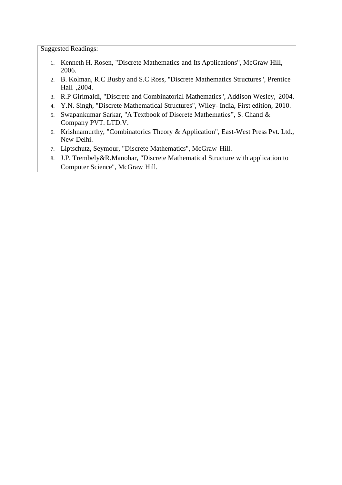- 1. Kenneth H. Rosen, "Discrete Mathematics and Its Applications", McGraw Hill, 2006.
- 2. B. Kolman, R.C Busby and S.C Ross, "Discrete Mathematics Structures", Prentice Hall ,2004.
- 3. R.P Girimaldi, "Discrete and Combinatorial Mathematics", Addison Wesley, 2004.
- 4. Y.N. Singh, "Discrete Mathematical Structures", Wiley- India, First edition, 2010.
- 5. Swapankumar Sarkar, "A Textbook of Discrete Mathematics", S. Chand & Company PVT. LTD.V.
- 6. Krishnamurthy, "Combinatorics Theory & Application", East-West Press Pvt. Ltd., New Delhi.
- 7. Liptschutz, Seymour, "Discrete Mathematics", McGraw Hill.
- 8. J.P. Trembely&R.Manohar, "Discrete Mathematical Structure with application to Computer Science", McGraw Hill.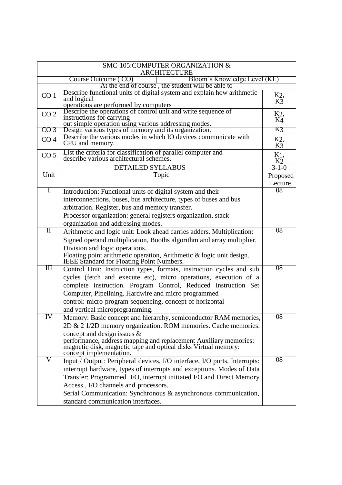|                                                                                                                             | SMC-105:COMPUTER ORGANIZATION &                                                                                                    |                      |  |  |  |  |
|-----------------------------------------------------------------------------------------------------------------------------|------------------------------------------------------------------------------------------------------------------------------------|----------------------|--|--|--|--|
| <b>ARCHITECTURE</b>                                                                                                         |                                                                                                                                    |                      |  |  |  |  |
| Bloom's Knowledge Level (KL)<br>Course Outcome (CO)                                                                         |                                                                                                                                    |                      |  |  |  |  |
| At the end of course, the student will be able to<br>Describe functional units of digital system and explain how arithmetic |                                                                                                                                    |                      |  |  |  |  |
| CO <sub>1</sub>                                                                                                             | and logical                                                                                                                        | K <sub>2</sub> ,     |  |  |  |  |
|                                                                                                                             | operations are performed by computers                                                                                              | K3                   |  |  |  |  |
| CO <sub>2</sub>                                                                                                             | Describe the operations of control unit and write sequence of                                                                      |                      |  |  |  |  |
|                                                                                                                             | instructions for carrying<br>out simple operation using various addressing modes.                                                  | K2,<br>K4            |  |  |  |  |
| CO <sub>3</sub>                                                                                                             | Design various types of memory and its organization.                                                                               |                      |  |  |  |  |
| CO <sub>4</sub>                                                                                                             | Describe the various modes in which IO devices communicate with                                                                    | K2,                  |  |  |  |  |
|                                                                                                                             | CPU and memory.                                                                                                                    | $K_3^{\overline{3}}$ |  |  |  |  |
| CO <sub>5</sub>                                                                                                             | List the criteria for classification of parallel computer and                                                                      | K1,                  |  |  |  |  |
|                                                                                                                             | describe various architectural schemes.                                                                                            | K <sub>2</sub>       |  |  |  |  |
|                                                                                                                             | DETAILED SYLLABUS                                                                                                                  | $3 - 1 - 0$          |  |  |  |  |
| Unit                                                                                                                        | Topic                                                                                                                              | Proposed             |  |  |  |  |
|                                                                                                                             |                                                                                                                                    | Lecture              |  |  |  |  |
| $\bf{l}$                                                                                                                    | Introduction: Functional units of digital system and their                                                                         | 08                   |  |  |  |  |
|                                                                                                                             | interconnections, buses, bus architecture, types of buses and bus                                                                  |                      |  |  |  |  |
|                                                                                                                             | arbitration. Register, bus and memory transfer.                                                                                    |                      |  |  |  |  |
|                                                                                                                             | Processor organization: general registers organization, stack                                                                      |                      |  |  |  |  |
|                                                                                                                             | organization and addressing modes.                                                                                                 |                      |  |  |  |  |
| П                                                                                                                           | Arithmetic and logic unit: Look ahead carries adders. Multiplication:                                                              | 08                   |  |  |  |  |
|                                                                                                                             | Signed operand multiplication, Booths algorithm and array multiplier.                                                              |                      |  |  |  |  |
|                                                                                                                             | Division and logic operations.                                                                                                     |                      |  |  |  |  |
|                                                                                                                             | Floating point arithmetic operation, Arithmetic & logic unit design.<br>IEEE Standard for Floating Point Numbers.                  |                      |  |  |  |  |
| $\mathop{\mathrm{III}}\nolimits$                                                                                            |                                                                                                                                    | 08                   |  |  |  |  |
|                                                                                                                             | Control Unit: Instruction types, formats, instruction cycles and sub                                                               |                      |  |  |  |  |
|                                                                                                                             | cycles (fetch and execute etc), micro operations, execution of a                                                                   |                      |  |  |  |  |
|                                                                                                                             | complete instruction. Program Control, Reduced Instruction Set                                                                     |                      |  |  |  |  |
|                                                                                                                             | Computer, Pipelining. Hardwire and micro programmed                                                                                |                      |  |  |  |  |
|                                                                                                                             | control: micro-program sequencing, concept of horizontal                                                                           |                      |  |  |  |  |
|                                                                                                                             | and vertical microprogramming.                                                                                                     |                      |  |  |  |  |
| IV                                                                                                                          | Memory: Basic concept and hierarchy, semiconductor RAM memories.                                                                   | 08                   |  |  |  |  |
|                                                                                                                             | 2D & 2 1/2D memory organization. ROM memories. Cache memories:                                                                     |                      |  |  |  |  |
|                                                                                                                             | concept and design issues $\&$                                                                                                     |                      |  |  |  |  |
|                                                                                                                             | performance, address mapping and replacement Auxiliary memories:<br>magnetic disk, magnetic tape and optical disks Virtual memory: |                      |  |  |  |  |
|                                                                                                                             | concept implementation.                                                                                                            |                      |  |  |  |  |
| $\overline{\rm V}$                                                                                                          | Input / Output: Peripheral devices, I/O interface, I/O ports, Interrupts:                                                          | 08                   |  |  |  |  |
|                                                                                                                             | interrupt hardware, types of interrupts and exceptions. Modes of Data                                                              |                      |  |  |  |  |
|                                                                                                                             | Transfer: Programmed I/O, interrupt initiated I/O and Direct Memory                                                                |                      |  |  |  |  |
|                                                                                                                             | Access., I/O channels and processors.                                                                                              |                      |  |  |  |  |
|                                                                                                                             | Serial Communication: Synchronous & asynchronous communication,                                                                    |                      |  |  |  |  |
|                                                                                                                             | standard communication interfaces.                                                                                                 |                      |  |  |  |  |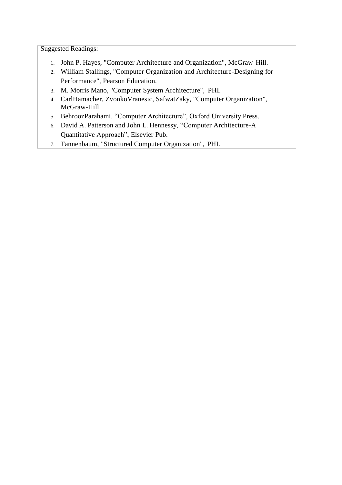- 1. John P. Hayes, "Computer Architecture and Organization", McGraw Hill.
- 2. William Stallings, "Computer Organization and Architecture-Designing for Performance", Pearson Education.
- 3. M. Morris Mano, "Computer System Architecture", PHI.
- 4. CarlHamacher, ZvonkoVranesic, SafwatZaky, "Computer Organization", McGraw-Hill.
- 5. BehroozParahami, "Computer Architecture", Oxford University Press.
- 6. David A. Patterson and John L. Hennessy, "Computer Architecture-A Quantitative Approach", Elsevier Pub.
- 7. Tannenbaum, "Structured Computer Organization", PHI.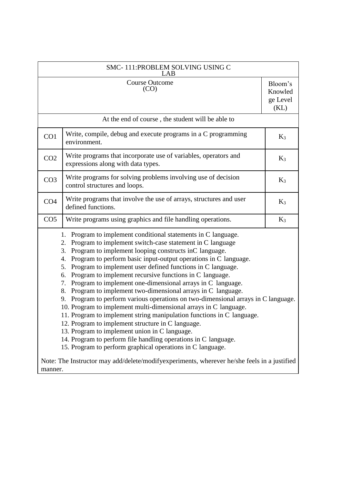| SMC-111: PROBLEM SOLVING USING C<br>LAB                                                                                                                                                                                                                                                                                                                                                                                                                                                                                                                                                                                                                                                                                                                                                                                                                                                                                                                                                                       |                                                                                                       |       |  |  |
|---------------------------------------------------------------------------------------------------------------------------------------------------------------------------------------------------------------------------------------------------------------------------------------------------------------------------------------------------------------------------------------------------------------------------------------------------------------------------------------------------------------------------------------------------------------------------------------------------------------------------------------------------------------------------------------------------------------------------------------------------------------------------------------------------------------------------------------------------------------------------------------------------------------------------------------------------------------------------------------------------------------|-------------------------------------------------------------------------------------------------------|-------|--|--|
| <b>Course Outcome</b><br>(CO)                                                                                                                                                                                                                                                                                                                                                                                                                                                                                                                                                                                                                                                                                                                                                                                                                                                                                                                                                                                 |                                                                                                       |       |  |  |
|                                                                                                                                                                                                                                                                                                                                                                                                                                                                                                                                                                                                                                                                                                                                                                                                                                                                                                                                                                                                               | At the end of course, the student will be able to                                                     |       |  |  |
| CO1                                                                                                                                                                                                                                                                                                                                                                                                                                                                                                                                                                                                                                                                                                                                                                                                                                                                                                                                                                                                           | Write, compile, debug and execute programs in a C programming<br>environment.                         |       |  |  |
| CO <sub>2</sub>                                                                                                                                                                                                                                                                                                                                                                                                                                                                                                                                                                                                                                                                                                                                                                                                                                                                                                                                                                                               | Write programs that incorporate use of variables, operators and<br>expressions along with data types. | $K_3$ |  |  |
| CO <sub>3</sub>                                                                                                                                                                                                                                                                                                                                                                                                                                                                                                                                                                                                                                                                                                                                                                                                                                                                                                                                                                                               | Write programs for solving problems involving use of decision<br>control structures and loops.        | $K_3$ |  |  |
| CO <sub>4</sub>                                                                                                                                                                                                                                                                                                                                                                                                                                                                                                                                                                                                                                                                                                                                                                                                                                                                                                                                                                                               | Write programs that involve the use of arrays, structures and user<br>defined functions.              | $K_3$ |  |  |
| CO <sub>5</sub>                                                                                                                                                                                                                                                                                                                                                                                                                                                                                                                                                                                                                                                                                                                                                                                                                                                                                                                                                                                               | Write programs using graphics and file handling operations.                                           | $K_3$ |  |  |
| 1. Program to implement conditional statements in C language.<br>2. Program to implement switch-case statement in C language<br>Program to implement looping constructs in Clanguage.<br>3.<br>4. Program to perform basic input-output operations in C language.<br>5. Program to implement user defined functions in C language.<br>Program to implement recursive functions in C language.<br>6.<br>7. Program to implement one-dimensional arrays in C language.<br>8. Program to implement two-dimensional arrays in C language.<br>9. Program to perform various operations on two-dimensional arrays in C language.<br>10. Program to implement multi-dimensional arrays in C language.<br>11. Program to implement string manipulation functions in C language.<br>12. Program to implement structure in C language.<br>13. Program to implement union in C language.<br>14. Program to perform file handling operations in C language.<br>15. Program to perform graphical operations in C language. |                                                                                                       |       |  |  |
| Note: The Instructor may add/delete/modifyexperiments, wherever he/she feels in a justified<br>manner.                                                                                                                                                                                                                                                                                                                                                                                                                                                                                                                                                                                                                                                                                                                                                                                                                                                                                                        |                                                                                                       |       |  |  |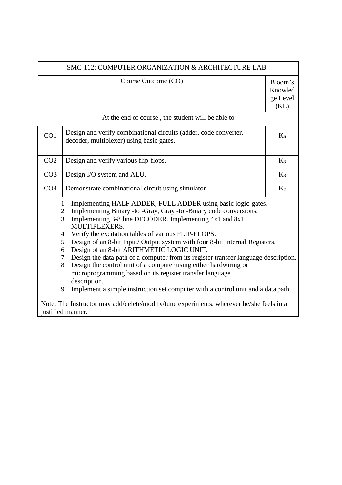| SMC-112: COMPUTER ORGANIZATION & ARCHITECTURE LAB                                                                                                                                                                                                                                                                                                                                                                                                                                                                                                                                                                                                                                                                                                                                                                                                 |       |  |  |  |
|---------------------------------------------------------------------------------------------------------------------------------------------------------------------------------------------------------------------------------------------------------------------------------------------------------------------------------------------------------------------------------------------------------------------------------------------------------------------------------------------------------------------------------------------------------------------------------------------------------------------------------------------------------------------------------------------------------------------------------------------------------------------------------------------------------------------------------------------------|-------|--|--|--|
| Course Outcome (CO)                                                                                                                                                                                                                                                                                                                                                                                                                                                                                                                                                                                                                                                                                                                                                                                                                               |       |  |  |  |
| At the end of course, the student will be able to                                                                                                                                                                                                                                                                                                                                                                                                                                                                                                                                                                                                                                                                                                                                                                                                 |       |  |  |  |
| Design and verify combinational circuits (adder, code converter,<br>CO <sub>1</sub><br>decoder, multiplexer) using basic gates.                                                                                                                                                                                                                                                                                                                                                                                                                                                                                                                                                                                                                                                                                                                   | $K_6$ |  |  |  |
| CO <sub>2</sub><br>Design and verify various flip-flops.                                                                                                                                                                                                                                                                                                                                                                                                                                                                                                                                                                                                                                                                                                                                                                                          | $K_3$ |  |  |  |
| CO <sub>3</sub><br>Design I/O system and ALU.                                                                                                                                                                                                                                                                                                                                                                                                                                                                                                                                                                                                                                                                                                                                                                                                     | $K_3$ |  |  |  |
| CO <sub>4</sub><br>Demonstrate combinational circuit using simulator                                                                                                                                                                                                                                                                                                                                                                                                                                                                                                                                                                                                                                                                                                                                                                              | $K_2$ |  |  |  |
| 1. Implementing HALF ADDER, FULL ADDER using basic logic gates.<br>2. Implementing Binary -to -Gray, Gray -to -Binary code conversions.<br>3. Implementing 3-8 line DECODER. Implementing 4x1 and 8x1<br>MULTIPLEXERS.<br>4. Verify the excitation tables of various FLIP-FLOPS.<br>5. Design of an 8-bit Input/ Output system with four 8-bit Internal Registers.<br>6. Design of an 8-bit ARITHMETIC LOGIC UNIT.<br>7. Design the data path of a computer from its register transfer language description.<br>8. Design the control unit of a computer using either hardwiring or<br>microprogramming based on its register transfer language<br>description.<br>9. Implement a simple instruction set computer with a control unit and a data path.<br>Note: The Instructor may add/delete/modify/tune experiments, wherever he/she feels in a |       |  |  |  |
| justified manner.                                                                                                                                                                                                                                                                                                                                                                                                                                                                                                                                                                                                                                                                                                                                                                                                                                 |       |  |  |  |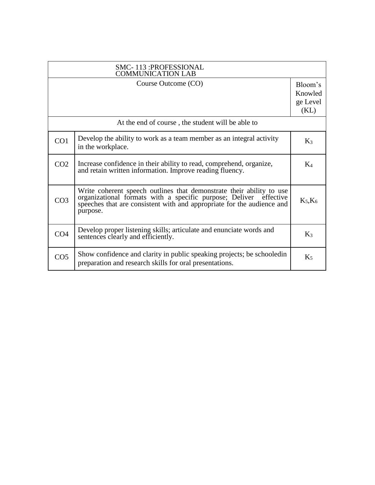|                 | <b>SMC-113: PROFESSIONAL</b><br><b>COMMUNICATION LAB</b>                                                                                                                                                                        |                                        |
|-----------------|---------------------------------------------------------------------------------------------------------------------------------------------------------------------------------------------------------------------------------|----------------------------------------|
|                 | Course Outcome (CO)                                                                                                                                                                                                             | Bloom's<br>Knowled<br>ge Level<br>(KL) |
|                 | At the end of course, the student will be able to                                                                                                                                                                               |                                        |
| CO1             | Develop the ability to work as a team member as an integral activity<br>in the workplace.                                                                                                                                       | $K_3$                                  |
| CO <sub>2</sub> | Increase confidence in their ability to read, comprehend, organize,<br>and retain written information. Improve reading fluency.                                                                                                 | $K_4$                                  |
| CO <sub>3</sub> | Write coherent speech outlines that demonstrate their ability to use<br>organizational formats with a specific purpose; Deliver effective<br>speeches that are consistent with and appropriate for the audience and<br>purpose. | $K_5, K_6$                             |
| CO <sub>4</sub> | Develop proper listening skills; articulate and enunciate words and<br>sentences clearly and efficiently.                                                                                                                       | $K_3$                                  |
| CO <sub>5</sub> | Show confidence and clarity in public speaking projects; be schooled in<br>preparation and research skills for oral presentations.                                                                                              | $K_5$                                  |